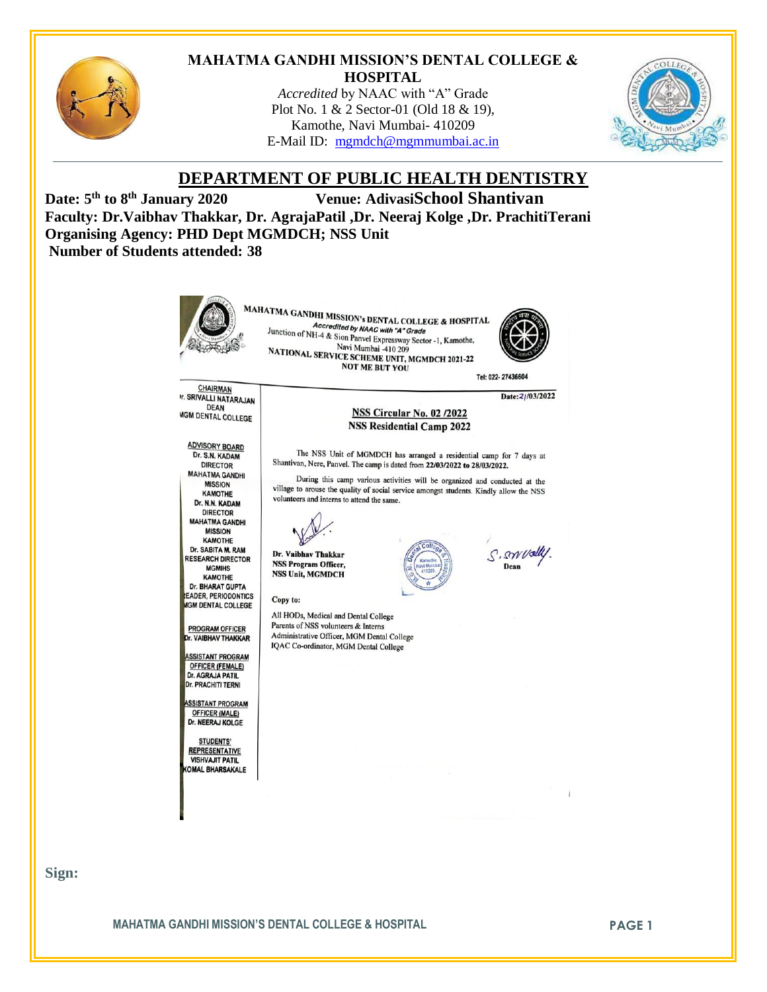

#### **MAHATMA GANDHI MISSION'S DENTAL COLLEGE & HOSPITAL**

*Accredited* by NAAC with "A" Grade Plot No. 1 & 2 Sector-01 (Old 18 & 19), Kamothe, Navi Mumbai- 410209 E-Mail ID: [mgmdch@mgmmumbai.ac.in](mailto:mgmdch@mgmmumbai.ac.in)



# **DEPARTMENT OF PUBLIC HEALTH DENTISTRY**

Date: 5<sup>th</sup> to 8<sup>th</sup> January 2020 **th to 8th January 2020 Venue: AdivasiSchool Shantivan Faculty: Dr.Vaibhav Thakkar, Dr. AgrajaPatil ,Dr. Neeraj Kolge ,Dr. PrachitiTerani Organising Agency: PHD Dept MGMDCH; NSS Unit Number of Students attended: 38**



**Sign:**

**MAHATMA GANDHI MISSION'S DENTAL COLLEGE & HOSPITAL <b>FRAGE 1**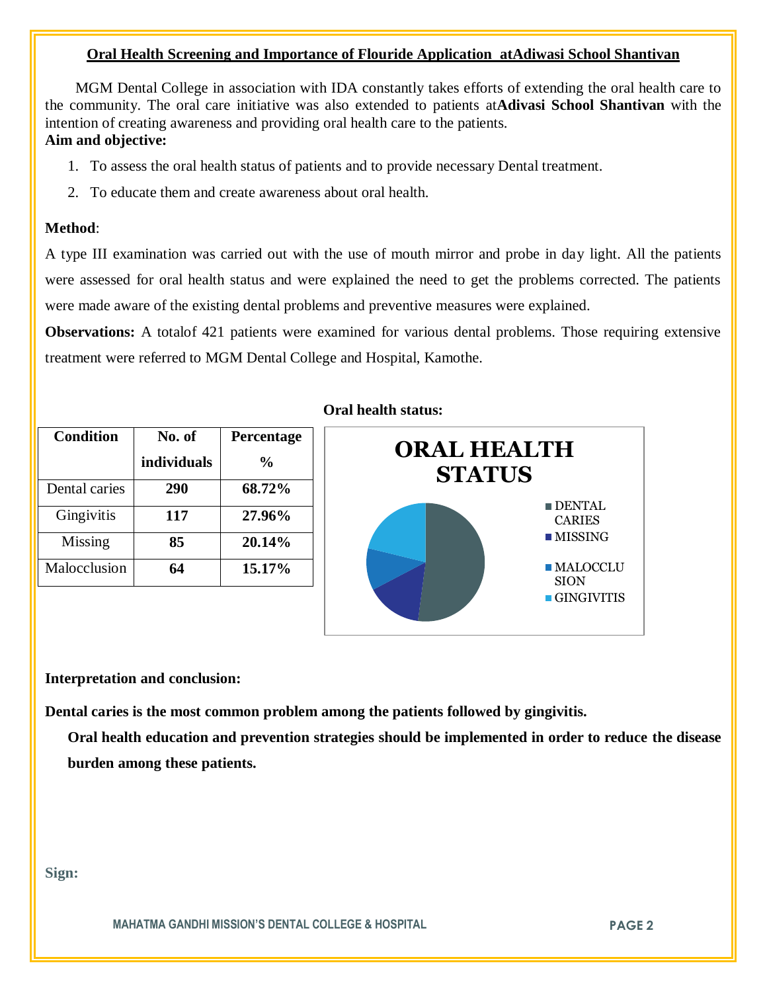# **Oral Health Screening and Importance of Flouride Application atAdiwasi School Shantivan**

 MGM Dental College in association with IDA constantly takes efforts of extending the oral health care to the community. The oral care initiative was also extended to patients at**Adivasi School Shantivan** with the intention of creating awareness and providing oral health care to the patients.

# **Aim and objective:**

- 1. To assess the oral health status of patients and to provide necessary Dental treatment.
- 2. To educate them and create awareness about oral health.

## **Method**:

A type III examination was carried out with the use of mouth mirror and probe in day light. All the patients were assessed for oral health status and were explained the need to get the problems corrected. The patients were made aware of the existing dental problems and preventive measures were explained.

**Observations:** A totalof 421 patients were examined for various dental problems. Those requiring extensive treatment were referred to MGM Dental College and Hospital, Kamothe.

| <b>Condition</b> | No. of      | Percentage    |
|------------------|-------------|---------------|
|                  | individuals | $\frac{0}{0}$ |
| Dental caries    | 290         | 68.72%        |
| Gingivitis       | 117         | 27.96%        |
| Missing          | 85          | 20.14%        |
| Malocclusion     | 64          | 15.17%        |

## **Oral health status:**



**Interpretation and conclusion:** 

**Dental caries is the most common problem among the patients followed by gingivitis.**

**Oral health education and prevention strategies should be implemented in order to reduce the disease burden among these patients.**

**Sign:**

**MAHATMA GANDHI MISSION'S DENTAL COLLEGE & HOSPITAL PAGE 2**